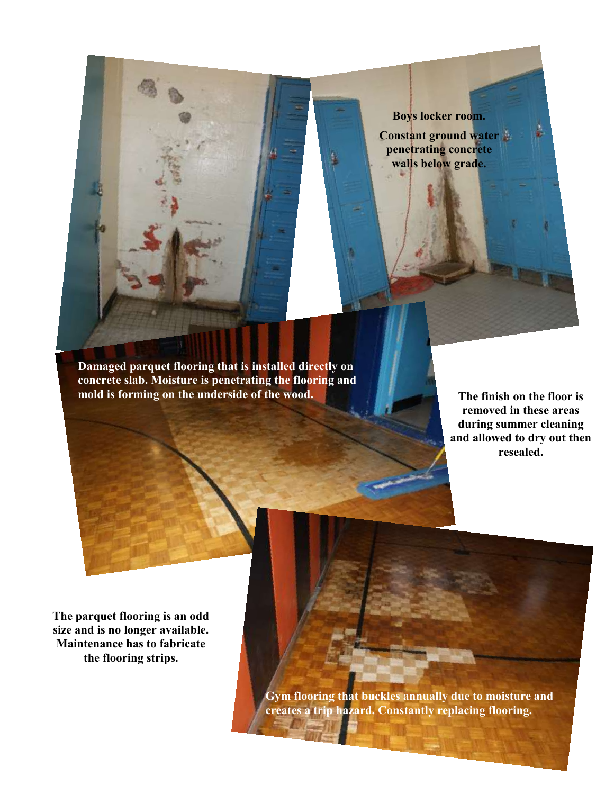

**Damaged parquet flooring that is installed directly on concrete slab. Moisture is penetrating the flooring and mold is forming on the underside of the wood.**

**The finish on the floor is removed in these areas during summer cleaning and allowed to dry out then resealed.** 

**The parquet flooring is an odd size and is no longer available. Maintenance has to fabricate the flooring strips.** 

> **Gym flooring that buckles annually due to moisture and creates a trip hazard. Constantly replacing flooring.**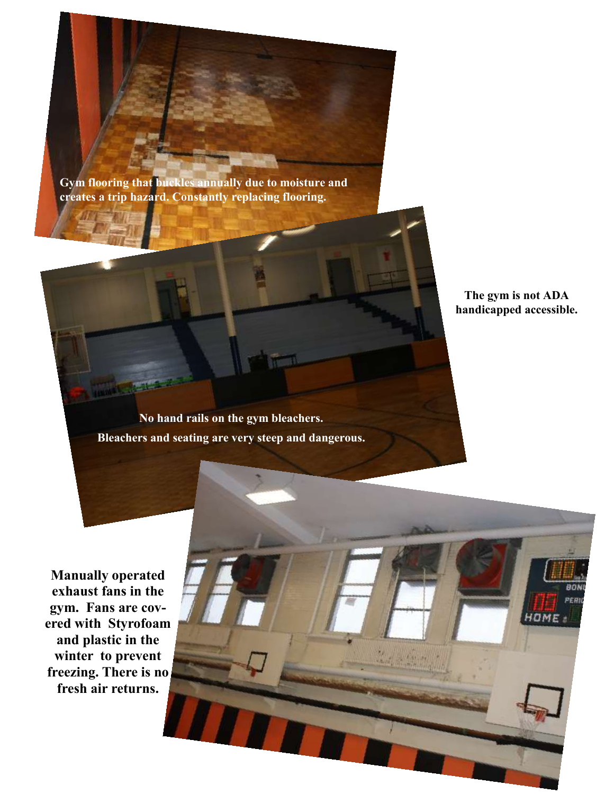**Gym flooring that buckles annually due to moisture and creates a trip hazard. Constantly replacing flooring.**

> **The gym is not ADA handicapped accessible.**

**No hand rails on the gym bleachers. Bleachers and seating are very steep and dangerous.**

**Manually operated exhaust fans in the gym. Fans are covered with Styrofoam and plastic in the winter to prevent freezing. There is no fresh air returns.**

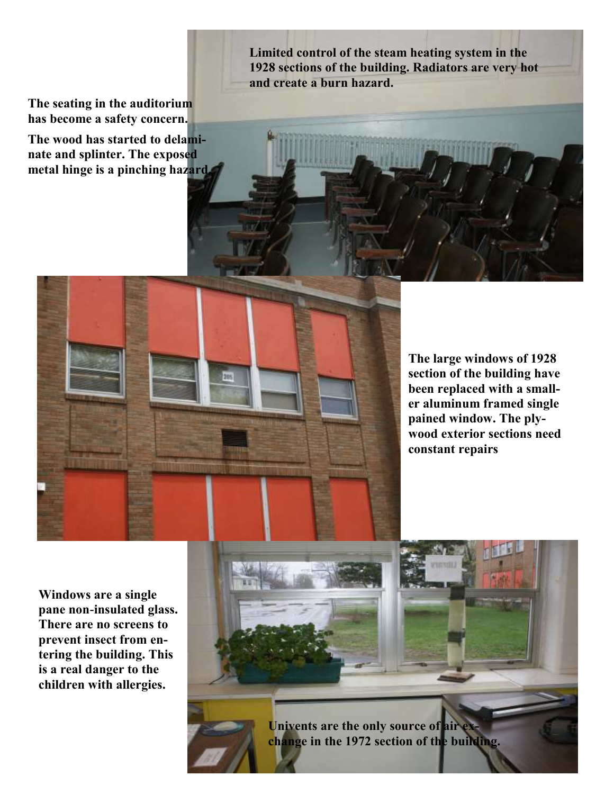**The seating in the auditorium has become a safety concern.** 

**The wood has started to delaminate and splinter. The exposed metal hinge is a pinching hazard.** **Limited control of the steam heating system in the 1928 sections of the building. Radiators are very hot and create a burn hazard.** 



**Windows are a single pane non-insulated glass. There are no screens to prevent insect from entering the building. This is a real danger to the children with allergies.**

**hot and create a burn hazard.** 

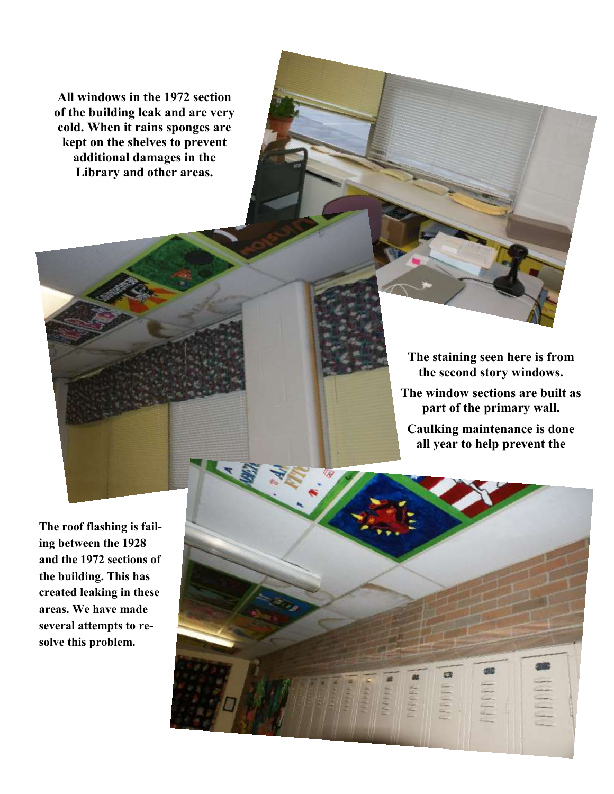**All windows in the 1972 section of the building leak and are very cold. When it rains sponges are kept on the shelves to prevent additional damages in the Library and other areas.** 

> **The staining seen here is from the second story windows. The window sections are built as part of the primary wall. Caulking maintenance is done**

**all year to help prevent the** 

**The roof flashing is failing between the 1928 and the 1972 sections of the building. This has created leaking in these areas. We have made several attempts to resolve this problem.**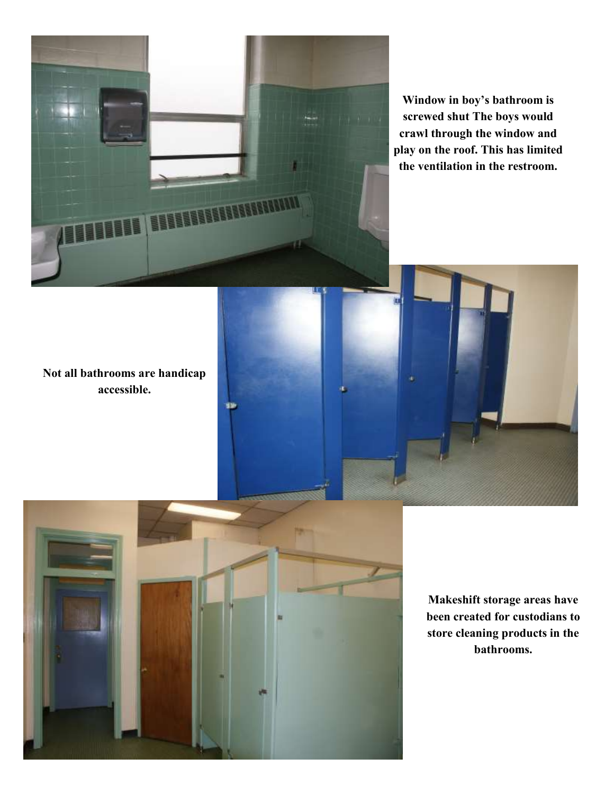

**Window in boy's bathroom is screwed shut The boys would crawl through the window and play on the roof. This has limited the ventilation in the restroom.**

**Not all bathrooms are handicap accessible.** 



33

**Makeshift storage areas have been created for custodians to store cleaning products in the bathrooms.**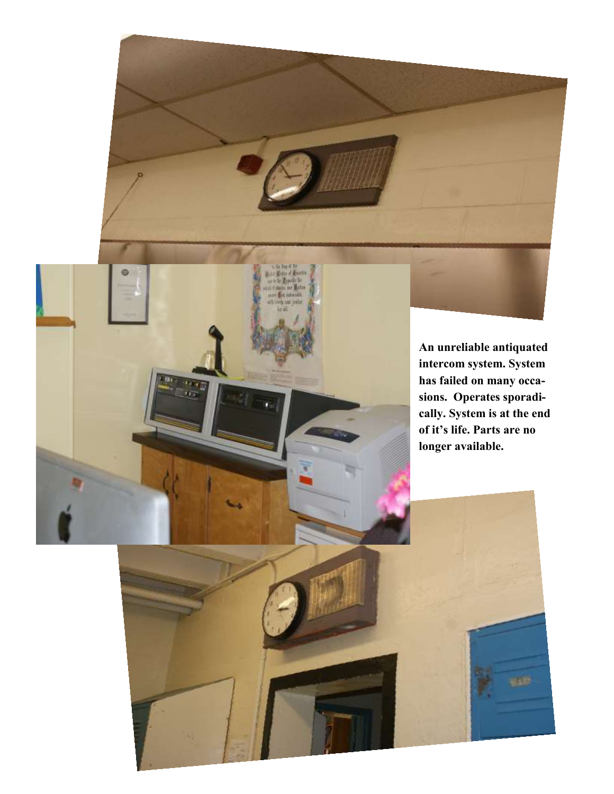

**CALLES**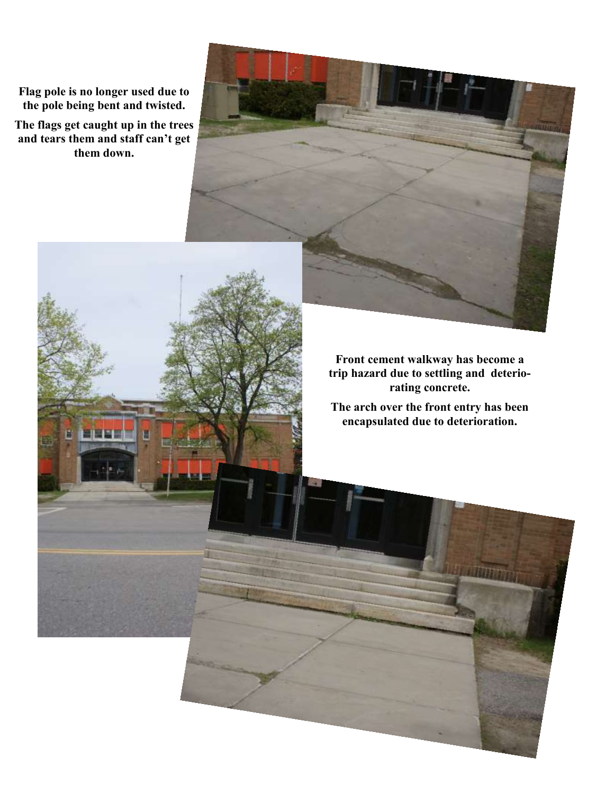**Flag pole is no longer used due to the pole being bent and twisted.** 

**The flags get caught up in the trees and tears them and staff can't get them down.**

> **Front cement walkway has become a trip hazard due to settling and deteriorating concrete.**

> **The arch over the front entry has been encapsulated due to deterioration.**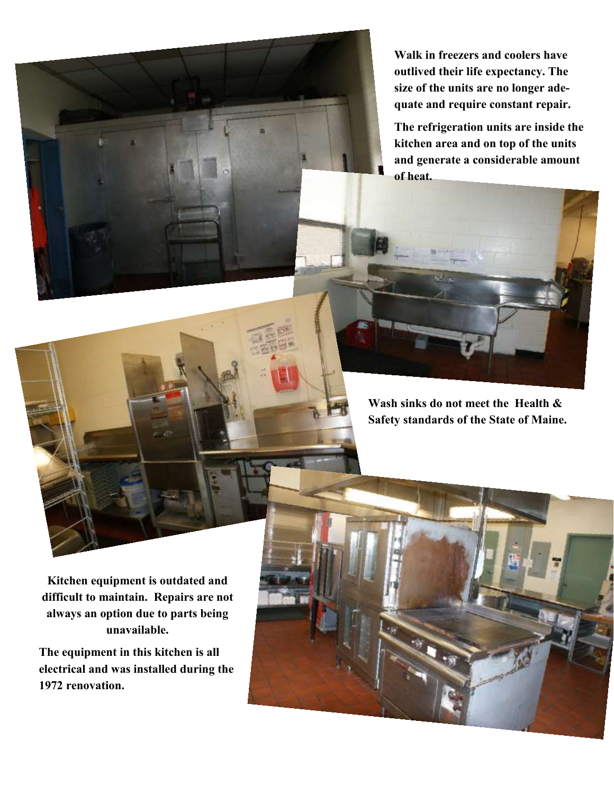**Walk in freezers and coolers have outlived their life expectancy. The size of the units are no longer adequate and require constant repair.**

**The refrigeration units are inside the kitchen area and on top of the units and generate a considerable amount of heat.**

**Wash sinks do not meet the Health & Safety standards of the State of Maine.**

**Kitchen equipment is outdated and difficult to maintain. Repairs are not always an option due to parts being unavailable.**

**The equipment in this kitchen is all electrical and was installed during the 1972 renovation.**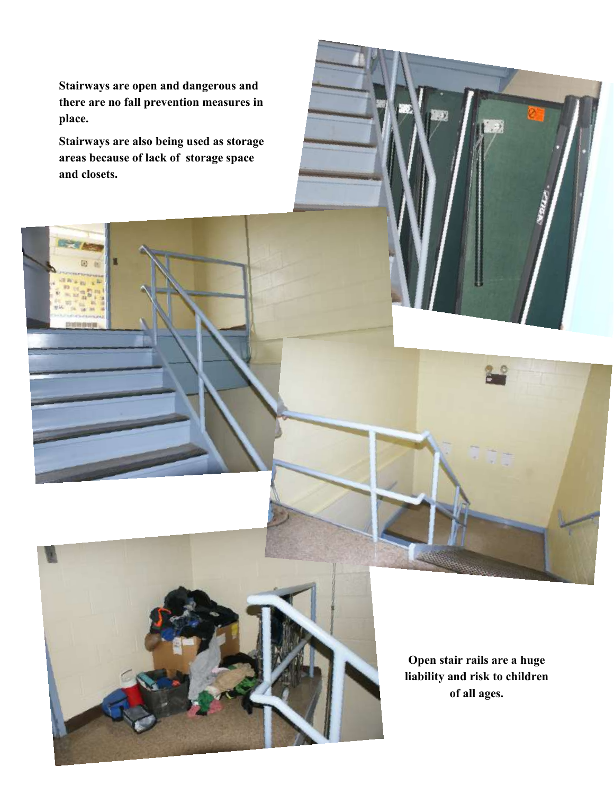**Stairways are open and dangerous and there are no fall prevention measures in place.**

**Stairways are also being used as storage areas because of lack of storage space and closets.**

> **Open stair rails are a huge liability and risk to children of all ages.**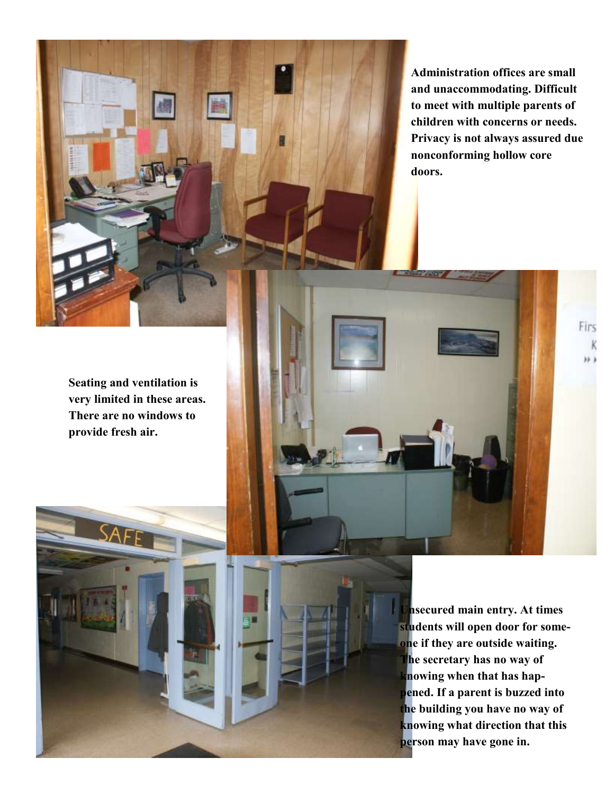

**Administration offices are small and unaccommodating. Difficult to meet with multiple parents of children with concerns or needs. Privacy is not always assured due nonconforming hollow core doors.** 

Firs

**Seating and ventilation is very limited in these areas. There are no windows to provide fresh air.** 

> **Unsecured main entry. At times students will open door for someone if they are outside waiting. The secretary has no way of knowing when that has happened. If a parent is buzzed into the building you have no way of knowing what direction that this person may have gone in.**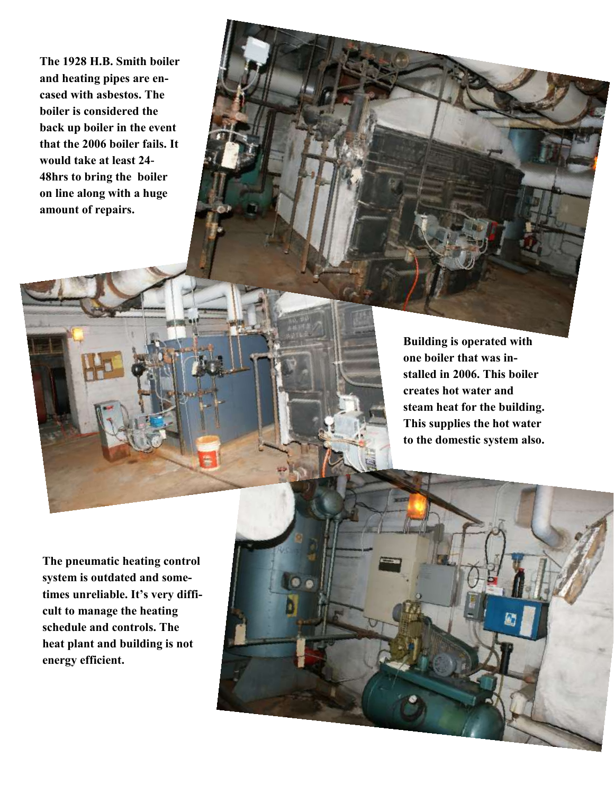**The 1928 H.B. Smith boiler and heating pipes are encased with asbestos. The boiler is considered the back up boiler in the event that the 2006 boiler fails. It would take at least 24- 48hrs to bring the boiler on line along with a huge amount of repairs.**

> **Building is operated with one boiler that was installed in 2006. This boiler creates hot water and steam heat for the building. This supplies the hot water to the domestic system also.**

**The pneumatic heating control system is outdated and sometimes unreliable. It's very difficult to manage the heating schedule and controls. The heat plant and building is not energy efficient.** 

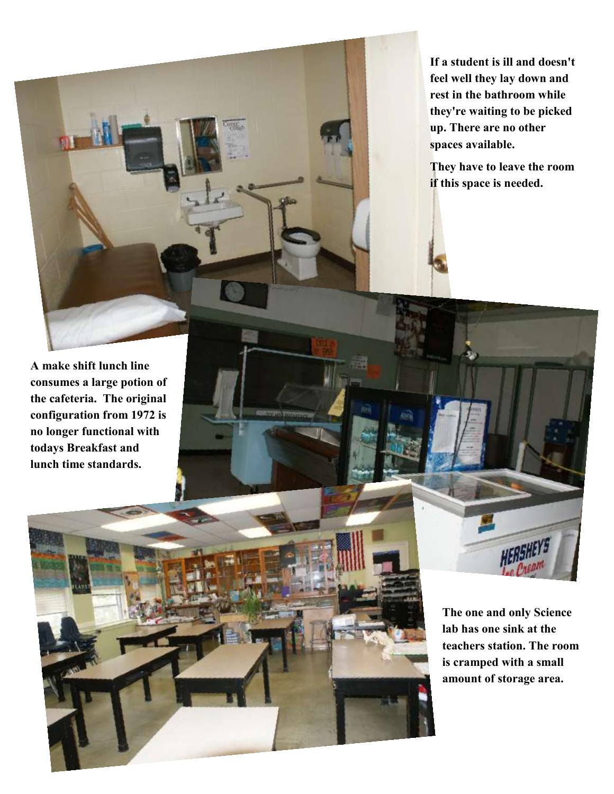**If a student is ill and doesn't feel well they lay down and rest in the bathroom while they're waiting to be picked up. There are no other spaces available.**

**They have to leave the room if this space is needed.** 

**A make shift lunch line consumes a large potion of the cafeteria. The original configuration from 1972 is no longer functional with todays Breakfast and lunch time standards.** 

> **The one and only Science lab has one sink at the teachers station. The room is cramped with a small amount of storage area.**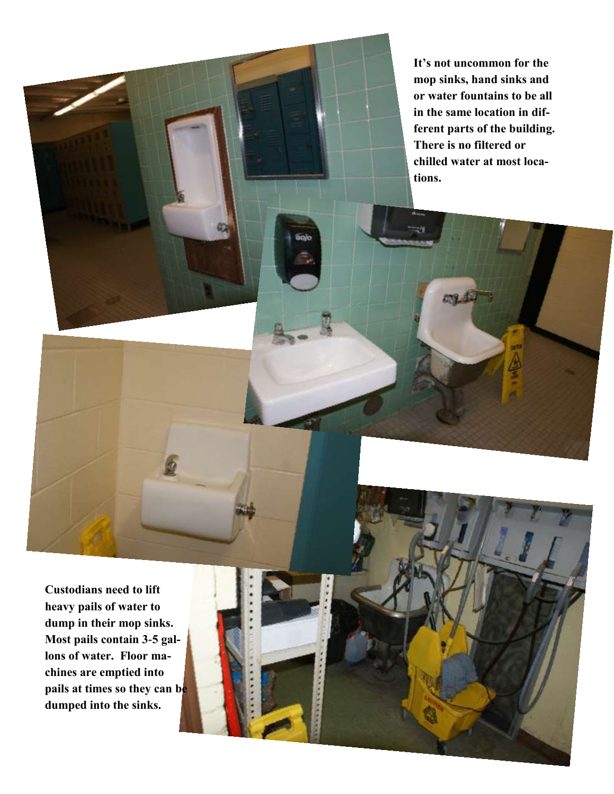**It's not uncommon for the mop sinks, hand sinks and or water fountains to be all in the same location in different parts of the building. There is no filtered or chilled water at most locations.**

**Custodians need to lift heavy pails of water to dump in their mop sinks. Most pails contain 3-5 gallons of water. Floor machines are emptied into pails at times so they can be dumped into the sinks.**